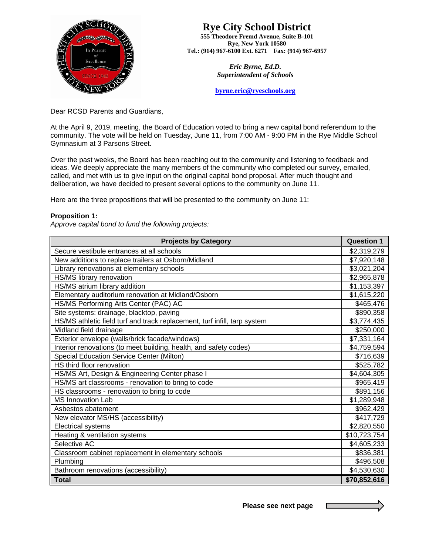

## **Rye City School District**

**555 Theodore Fremd Avenue, Suite B-101 Rye, New York 10580 Tel.: (914) 967-6100 Ext. 6271 Fax: (914) 967-6957** 

> *Eric Byrne, Ed.D. Superintendent of Schools*

**[byrne.eric@ryeschools.org](mailto:byrne.eric@ryeschools.org)**

Dear RCSD Parents and Guardians,

At the April 9, 2019, meeting, the Board of Education voted to bring a new capital bond referendum to the community. The vote will be held on Tuesday, June 11, from 7:00 AM - 9:00 PM in the Rye Middle School Gymnasium at 3 Parsons Street.

Over the past weeks, the Board has been reaching out to the community and listening to feedback and ideas. We deeply appreciate the many members of the community who completed our survey, emailed, called, and met with us to give input on the original capital bond proposal. After much thought and deliberation, we have decided to present several options to the community on June 11.

Here are the three propositions that will be presented to the community on June 11:

## **Proposition 1:**

*Approve capital bond to fund the following projects:*

| <b>Projects by Category</b>                                               | <b>Question 1</b> |
|---------------------------------------------------------------------------|-------------------|
| Secure vestibule entrances at all schools                                 | \$2,319,279       |
| New additions to replace trailers at Osborn/Midland                       | \$7,920,148       |
| Library renovations at elementary schools                                 | \$3,021,204       |
| HS/MS library renovation                                                  | \$2,965,878       |
| HS/MS atrium library addition                                             | \$1,153,397       |
| Elementary auditorium renovation at Midland/Osborn                        | \$1,615,220       |
| HS/MS Performing Arts Center (PAC) AC                                     | \$465,476         |
| Site systems: drainage, blacktop, paving                                  | \$890,358         |
| HS/MS athletic field turf and track replacement, turf infill, tarp system | \$3,774,435       |
| Midland field drainage                                                    | \$250,000         |
| Exterior envelope (walls/brick facade/windows)                            | \$7,331,164       |
| Interior renovations (to meet building, health, and safety codes)         | \$4,759,594       |
| <b>Special Education Service Center (Milton)</b>                          | \$716,639         |
| HS third floor renovation                                                 | \$525,782         |
| HS/MS Art, Design & Engineering Center phase I                            | \$4,604,305       |
| HS/MS art classrooms - renovation to bring to code                        | \$965,419         |
| HS classrooms - renovation to bring to code                               | \$891,156         |
| <b>MS Innovation Lab</b>                                                  | \$1,289,948       |
| Asbestos abatement                                                        | \$962,429         |
| New elevator MS/HS (accessibility)                                        | \$417,729         |
| <b>Electrical systems</b>                                                 | \$2,820,550       |
| Heating & ventilation systems                                             | \$10,723,754      |
| Selective AC                                                              | \$4,605,233       |
| Classroom cabinet replacement in elementary schools                       | \$836,381         |
| Plumbing                                                                  | \$496,508         |
| Bathroom renovations (accessibility)                                      | \$4,530,630       |
| <b>Total</b>                                                              | \$70,852,616      |

 **Please see next page**